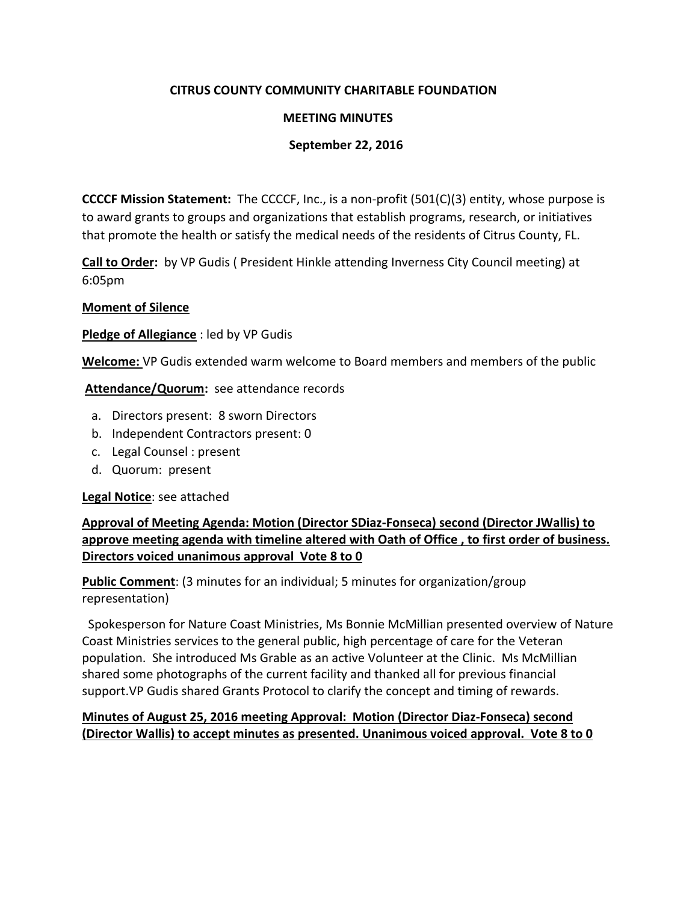# **CITRUS COUNTY COMMUNITY CHARITABLE FOUNDATION**

#### **MEETING MINUTES**

#### **September 22, 2016**

**CCCCF Mission Statement:** The CCCCF, Inc., is a non-profit (501(C)(3) entity, whose purpose is to award grants to groups and organizations that establish programs, research, or initiatives that promote the health or satisfy the medical needs of the residents of Citrus County, FL.

**Call to Order:** by VP Gudis ( President Hinkle attending Inverness City Council meeting) at 6:05pm

#### **Moment of Silence**

**Pledge of Allegiance** : led by VP Gudis

**Welcome:** VP Gudis extended warm welcome to Board members and members of the public

**Attendance/Quorum:** see attendance records

- a. Directors present: 8 sworn Directors
- b. Independent Contractors present: 0
- c. Legal Counsel : present
- d. Quorum: present

**Legal Notice**: see attached

**Approval of Meeting Agenda: Motion (Director SDiaz-Fonseca) second (Director JWallis) to approve meeting agenda with timeline altered with Oath of Office , to first order of business. Directors voiced unanimous approval Vote 8 to 0**

**Public Comment**: (3 minutes for an individual; 5 minutes for organization/group representation)

 Spokesperson for Nature Coast Ministries, Ms Bonnie McMillian presented overview of Nature Coast Ministries services to the general public, high percentage of care for the Veteran population. She introduced Ms Grable as an active Volunteer at the Clinic. Ms McMillian shared some photographs of the current facility and thanked all for previous financial support.VP Gudis shared Grants Protocol to clarify the concept and timing of rewards.

# **Minutes of August 25, 2016 meeting Approval: Motion (Director Diaz-Fonseca) second (Director Wallis) to accept minutes as presented. Unanimous voiced approval. Vote 8 to 0**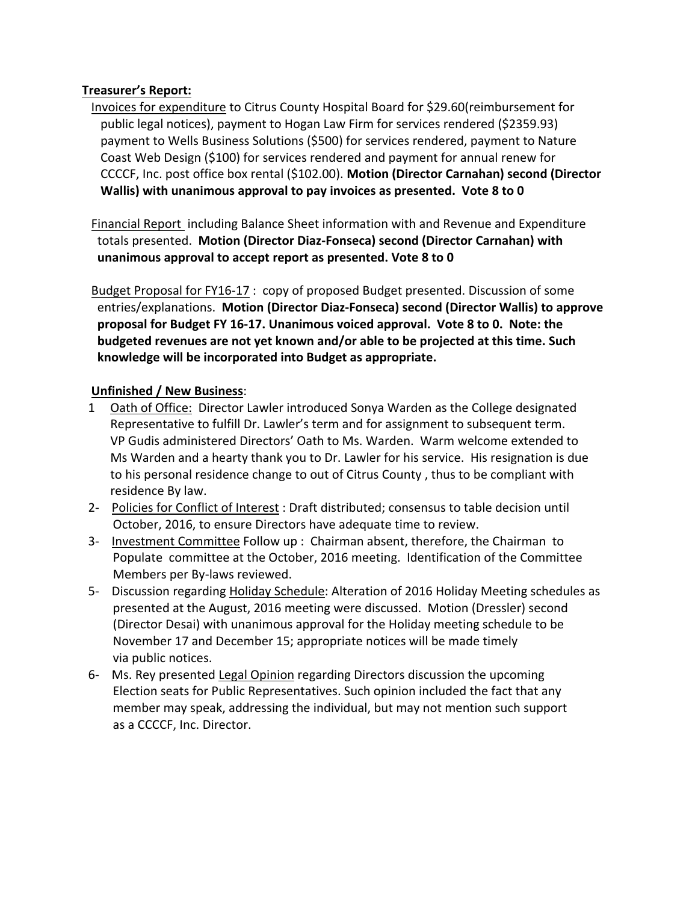# **Treasurer's Report:**

 Invoices for expenditure to Citrus County Hospital Board for \$29.60(reimbursement for public legal notices), payment to Hogan Law Firm for services rendered (\$2359.93) payment to Wells Business Solutions (\$500) for services rendered, payment to Nature Coast Web Design (\$100) for services rendered and payment for annual renew for CCCCF, Inc. post office box rental (\$102.00). **Motion (Director Carnahan) second (Director Wallis) with unanimous approval to pay invoices as presented. Vote 8 to 0**

 Financial Report including Balance Sheet information with and Revenue and Expenditure totals presented. **Motion (Director Diaz-Fonseca) second (Director Carnahan) with unanimous approval to accept report as presented. Vote 8 to 0**

Budget Proposal for FY16-17 : copy of proposed Budget presented. Discussion of some entries/explanations. **Motion (Director Diaz-Fonseca) second (Director Wallis) to approve proposal for Budget FY 16-17. Unanimous voiced approval. Vote 8 to 0. Note: the budgeted revenues are not yet known and/or able to be projected at this time. Such knowledge will be incorporated into Budget as appropriate.** 

# **Unfinished / New Business**:

- 1 Oath of Office: Director Lawler introduced Sonya Warden as the College designated Representative to fulfill Dr. Lawler's term and for assignment to subsequent term. VP Gudis administered Directors' Oath to Ms. Warden. Warm welcome extended to Ms Warden and a hearty thank you to Dr. Lawler for his service. His resignation is due to his personal residence change to out of Citrus County , thus to be compliant with residence By law.
- 2- Policies for Conflict of Interest : Draft distributed; consensus to table decision until October, 2016, to ensure Directors have adequate time to review.
- 3- Investment Committee Follow up : Chairman absent, therefore, the Chairman to Populate committee at the October, 2016 meeting. Identification of the Committee Members per By-laws reviewed.
- 5- Discussion regarding Holiday Schedule: Alteration of 2016 Holiday Meeting schedules as presented at the August, 2016 meeting were discussed. Motion (Dressler) second (Director Desai) with unanimous approval for the Holiday meeting schedule to be November 17 and December 15; appropriate notices will be made timely via public notices.
- 6- Ms. Rey presented Legal Opinion regarding Directors discussion the upcoming Election seats for Public Representatives. Such opinion included the fact that any member may speak, addressing the individual, but may not mention such support as a CCCCF, Inc. Director.